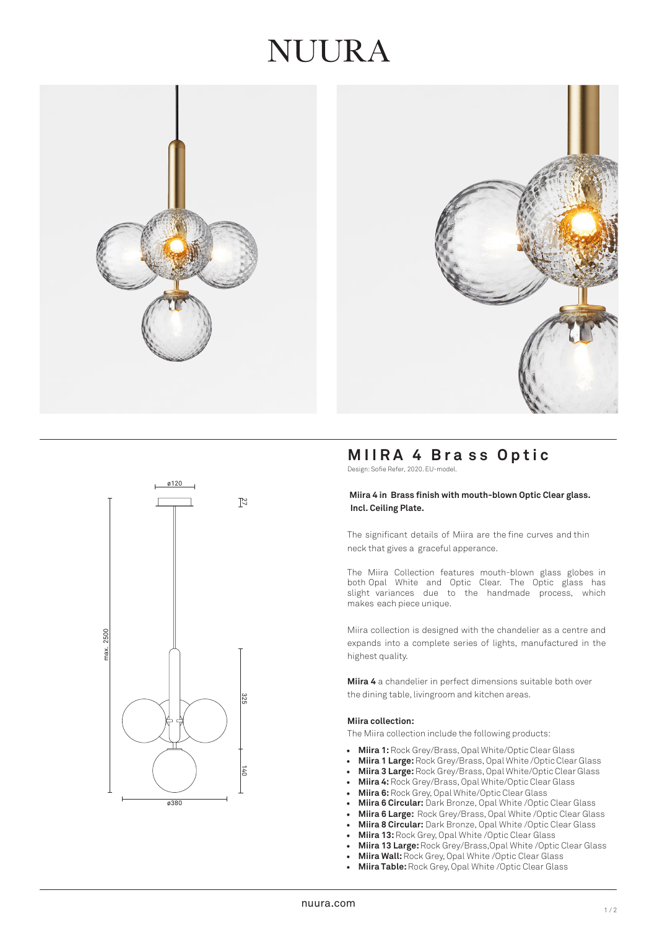## JUUR A





## **MIIRA 4 Bra s s Optic**

Design: Sofie Refer, 2020. EU-model.

#### **Miira 4 in Brass finish with mouth-blown Optic Clear glass. Incl. Ceiling Plate.**

The significant details of Miira are the fine curves and thin neck that gives a graceful apperance.

The Miira Collection features mouth-blown glass globes in both Opal White and Optic Clear. The Optic glass has slight variances due to the handmade process, which makes each piece unique.

Miira collection is designed with the chandelier as a centre and expands into a complete series of lights, manufactured in the highest quality.

**Miira 4** a chandelier in perfect dimensions suitable both over the dining table, livingroom and kitchen areas.

#### **Miira collection:**

The Miira collection include the following products:

- **Miira 1:**Rock Grey/Brass, Opal White/Optic Clear Glass
- **Miira 1 Large:**Rock Grey/Brass, Opal White /Optic Clear Glass
- **Miira 3 Large:** Rock Grey/Brass, Opal White/Optic Clear Glass
- **Miira 4:**Rock Grey/Brass, Opal White/Optic Clear Glass
- **Miira 6:**Rock Grey, Opal White/Optic Clear Glass
- **Miira 6 Circular:** Dark Bronze, Opal White /Optic Clear Glass
- **Miira 6 Large:** Rock Grey/Brass, Opal White /Optic Clear Glass
- **Miira 8 Circular:** Dark Bronze, Opal White /Optic Clear Glass
- **Miira 13:** Rock Grey, Opal White /Optic Clear Glass
- **Miira 13 Large:** Rock Grey/Brass,Opal White /Optic Clear Glass
- **Miira Wall:** Rock Grey, Opal White /Optic Clear Glass<br>• **Miira Table:** Rock Grey Opal White /Optic Clear Glass
- **Miira Table:** Rock Grey, Opal White /Optic Clear Glass